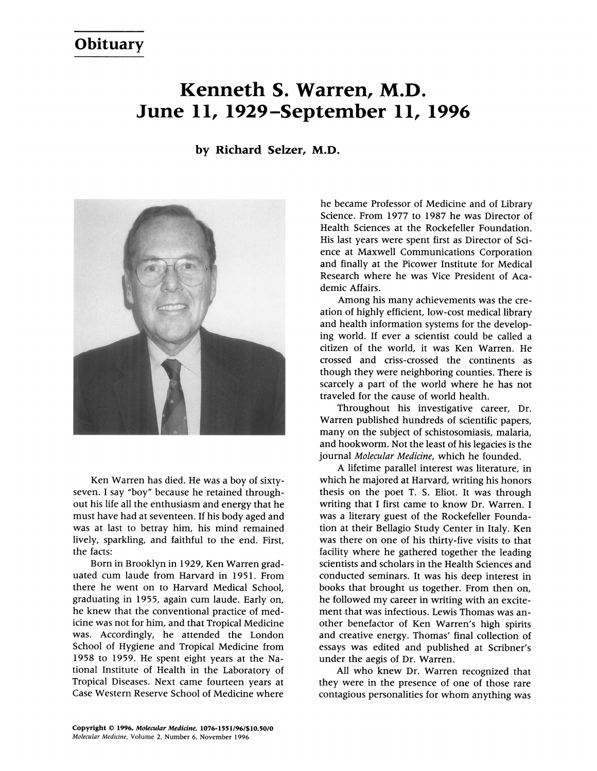## Kenneth S. Warren, M.D. June 11, 1929-September 11, 1996

by Richard Selzer, M.D.



Ken Warren has died. He was a boy of sixtyseven. <sup>I</sup> say "boy" because he retained throughout his life all the enthusiasm and energy that he must have had at seventeen. If his body aged and was at last to betray him, his mind remained lively, sparkling, and faithful to the end. First, the facts:

Born in Brooklyn in 1929, Ken Warren graduated cum laude from Harvard in 1951. From there he went on to Harvard Medical School, graduating in 1955, again cum laude. Early on, he knew that the conventional practice of medicine was not for him, and that Tropical Medicine was. Accordingly, he attended the London School of Hygiene and Tropical Medicine from 1958 to 1959. He spent eight years at the National Institute of Health in the Laboratory of Tropical Diseases. Next came fourteen years at Case Western Reserve School of Medicine where

he became Professor of Medicine and of Library Science. From 1977 to 1987 he was Director of Health Sciences at the Rockefeller Foundation. His last years were spent first as Director of Science at Maxwell Communications Corporation and finally at the Picower Institute for Medical Research where he was Vice President of Academic Affairs.

Among his many achievements was the creation of highly efficient, low-cost medical library and health information systems for the developing world. If ever a scientist could be called a citizen of the world, it was Ken Warren. He crossed and criss-crossed the continents as though they were neighboring counties. There is scarcely a part of the world where he has not traveled for the cause of world health.

Throughout his investigative career, Dr. Warren published hundreds of scientific papers, many on the subject of schistosomiasis, malaria, and hookworm. Not the least of his legacies is the journal Molecular Medicine, which he founded.

A lifetime parallel interest was literature, in which he majored at Harvard, writing his honors thesis on the poet T. S. Eliot. It was through writing that <sup>I</sup> first came to know Dr. Warren. <sup>I</sup> was a literary guest of the Rockefeller Foundation at their Bellagio Study Center in Italy. Ken was there on one of his thirty-five visits to that facility where he gathered together the leading scientists and scholars in the Health Sciences and conducted seminars. It was his deep interest in books that brought us together. From then on, he followed my career in writing with an excitement that was infectious. Lewis Thomas was another benefactor of Ken Warren's high spirits and creative energy. Thomas' final collection of essays was edited and published at Scribner's under the aegis of Dr. Warren.

All who knew Dr. Warren recognized that they were in the presence of one of those rare contagious personalities for whom anything was